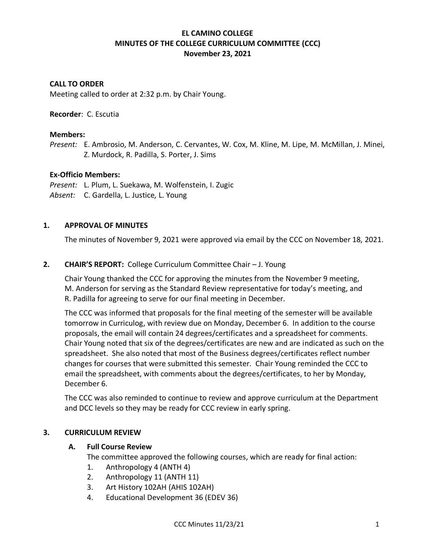# **EL CAMINO COLLEGE MINUTES OF THE COLLEGE CURRICULUM COMMITTEE (CCC) November 23, 2021**

## **CALL TO ORDER**

Meeting called to order at 2:32 p.m. by Chair Young.

### **Recorder**: C. Escutia

### **Members:**

*Present:* E. Ambrosio, M. Anderson, C. Cervantes, W. Cox, M. Kline, M. Lipe, M. McMillan, J. Minei, Z. Murdock, R. Padilla, S. Porter, J. Sims

### **Ex-Officio Members:**

*Present:* L. Plum, L. Suekawa, M. Wolfenstein, I. Zugic *Absent:* C. Gardella, L. Justice*,* L. Young

## **1. APPROVAL OF MINUTES**

The minutes of November 9, 2021 were approved via email by the CCC on November 18, 2021.

## **2. CHAIR'S REPORT:** College Curriculum Committee Chair – J. Young

Chair Young thanked the CCC for approving the minutes from the November 9 meeting, M. Anderson for serving as the Standard Review representative for today's meeting, and R. Padilla for agreeing to serve for our final meeting in December.

The CCC was informed that proposals for the final meeting of the semester will be available tomorrow in Curriculog, with review due on Monday, December 6. In addition to the course proposals, the email will contain 24 degrees/certificates and a spreadsheet for comments. Chair Young noted that six of the degrees/certificates are new and are indicated as such on the spreadsheet. She also noted that most of the Business degrees/certificates reflect number changes for courses that were submitted this semester. Chair Young reminded the CCC to email the spreadsheet, with comments about the degrees/certificates, to her by Monday, December 6.

The CCC was also reminded to continue to review and approve curriculum at the Department and DCC levels so they may be ready for CCC review in early spring.

## **3. CURRICULUM REVIEW**

#### **A. Full Course Review**

The committee approved the following courses, which are ready for final action:

- 1. Anthropology 4 (ANTH 4)
- 2. Anthropology 11 (ANTH 11)
- 3. Art History 102AH (AHIS 102AH)
- 4. Educational Development 36 (EDEV 36)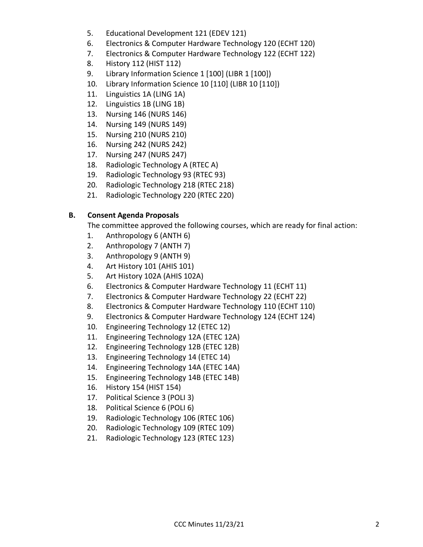- 5. Educational Development 121 (EDEV 121)
- 6. Electronics & Computer Hardware Technology 120 (ECHT 120)
- 7. Electronics & Computer Hardware Technology 122 (ECHT 122)
- 8. History 112 (HIST 112)
- 9. Library Information Science 1 [100] (LIBR 1 [100])
- 10. Library Information Science 10 [110] (LIBR 10 [110])
- 11. Linguistics 1A (LING 1A)
- 12. Linguistics 1B (LING 1B)
- 13. Nursing 146 (NURS 146)
- 14. Nursing 149 (NURS 149)
- 15. Nursing 210 (NURS 210)
- 16. Nursing 242 (NURS 242)
- 17. Nursing 247 (NURS 247)
- 18. Radiologic Technology A (RTEC A)
- 19. Radiologic Technology 93 (RTEC 93)
- 20. Radiologic Technology 218 (RTEC 218)
- 21. Radiologic Technology 220 (RTEC 220)

# **B. Consent Agenda Proposals**

The committee approved the following courses, which are ready for final action:

- 1. Anthropology 6 (ANTH 6)
- 2. Anthropology 7 (ANTH 7)
- 3. Anthropology 9 (ANTH 9)
- 4. Art History 101 (AHIS 101)
- 5. Art History 102A (AHIS 102A)
- 6. Electronics & Computer Hardware Technology 11 (ECHT 11)
- 7. Electronics & Computer Hardware Technology 22 (ECHT 22)
- 8. Electronics & Computer Hardware Technology 110 (ECHT 110)
- 9. Electronics & Computer Hardware Technology 124 (ECHT 124)
- 10. Engineering Technology 12 (ETEC 12)
- 11. Engineering Technology 12A (ETEC 12A)
- 12. Engineering Technology 12B (ETEC 12B)
- 13. Engineering Technology 14 (ETEC 14)
- 14. Engineering Technology 14A (ETEC 14A)
- 15. Engineering Technology 14B (ETEC 14B)
- 16. History 154 (HIST 154)
- 17. Political Science 3 (POLI 3)
- 18. Political Science 6 (POLI 6)
- 19. Radiologic Technology 106 (RTEC 106)
- 20. Radiologic Technology 109 (RTEC 109)
- 21. Radiologic Technology 123 (RTEC 123)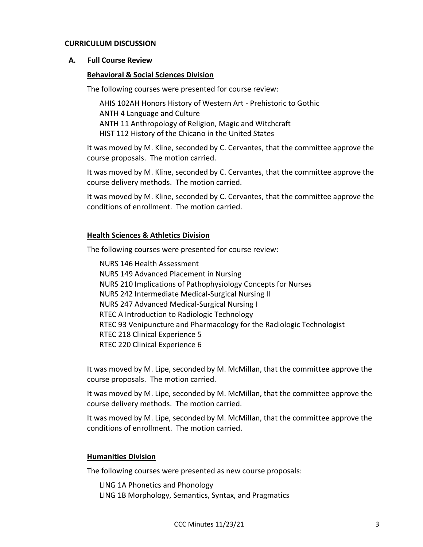#### **CURRICULUM DISCUSSION**

### **A. Full Course Review**

### **Behavioral & Social Sciences Division**

The following courses were presented for course review:

AHIS 102AH Honors History of Western Art - Prehistoric to Gothic ANTH 4 Language and Culture ANTH 11 Anthropology of Religion, Magic and Witchcraft HIST 112 History of the Chicano in the United States

It was moved by M. Kline, seconded by C. Cervantes, that the committee approve the course proposals. The motion carried.

It was moved by M. Kline, seconded by C. Cervantes, that the committee approve the course delivery methods. The motion carried.

It was moved by M. Kline, seconded by C. Cervantes, that the committee approve the conditions of enrollment. The motion carried.

### **Health Sciences & Athletics Division**

The following courses were presented for course review:

NURS 146 Health Assessment NURS 149 Advanced Placement in Nursing NURS 210 Implications of Pathophysiology Concepts for Nurses NURS 242 Intermediate Medical-Surgical Nursing II NURS 247 Advanced Medical-Surgical Nursing I RTEC A Introduction to Radiologic Technology RTEC 93 Venipuncture and Pharmacology for the Radiologic Technologist RTEC 218 Clinical Experience 5 RTEC 220 Clinical Experience 6

It was moved by M. Lipe, seconded by M. McMillan, that the committee approve the course proposals. The motion carried.

It was moved by M. Lipe, seconded by M. McMillan, that the committee approve the course delivery methods. The motion carried.

It was moved by M. Lipe, seconded by M. McMillan, that the committee approve the conditions of enrollment. The motion carried.

#### **Humanities Division**

The following courses were presented as new course proposals:

LING 1A Phonetics and Phonology LING 1B Morphology, Semantics, Syntax, and Pragmatics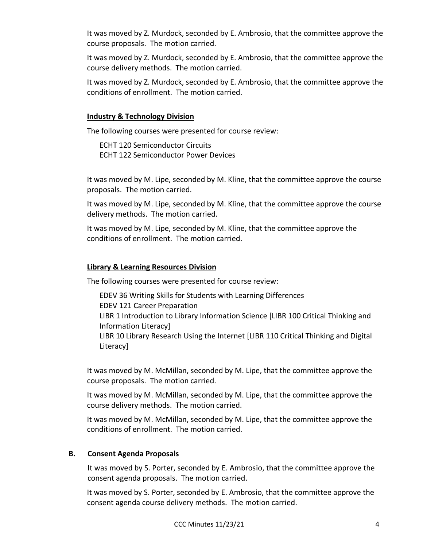It was moved by Z. Murdock, seconded by E. Ambrosio, that the committee approve the course proposals. The motion carried.

It was moved by Z. Murdock, seconded by E. Ambrosio, that the committee approve the course delivery methods. The motion carried.

It was moved by Z. Murdock, seconded by E. Ambrosio, that the committee approve the conditions of enrollment. The motion carried.

## **Industry & Technology Division**

The following courses were presented for course review:

ECHT 120 Semiconductor Circuits ECHT 122 Semiconductor Power Devices

It was moved by M. Lipe, seconded by M. Kline, that the committee approve the course proposals. The motion carried.

It was moved by M. Lipe, seconded by M. Kline, that the committee approve the course delivery methods. The motion carried.

It was moved by M. Lipe, seconded by M. Kline, that the committee approve the conditions of enrollment. The motion carried.

## **Library & Learning Resources Division**

The following courses were presented for course review:

EDEV 36 Writing Skills for Students with Learning Differences EDEV 121 Career Preparation LIBR 1 Introduction to Library Information Science [LIBR 100 Critical Thinking and Information Literacy] LIBR 10 Library Research Using the Internet [LIBR 110 Critical Thinking and Digital Literacy]

It was moved by M. McMillan, seconded by M. Lipe, that the committee approve the course proposals. The motion carried.

It was moved by M. McMillan, seconded by M. Lipe, that the committee approve the course delivery methods. The motion carried.

It was moved by M. McMillan, seconded by M. Lipe, that the committee approve the conditions of enrollment. The motion carried.

## **B. Consent Agenda Proposals**

It was moved by S. Porter, seconded by E. Ambrosio, that the committee approve the consent agenda proposals. The motion carried.

It was moved by S. Porter, seconded by E. Ambrosio, that the committee approve the consent agenda course delivery methods. The motion carried.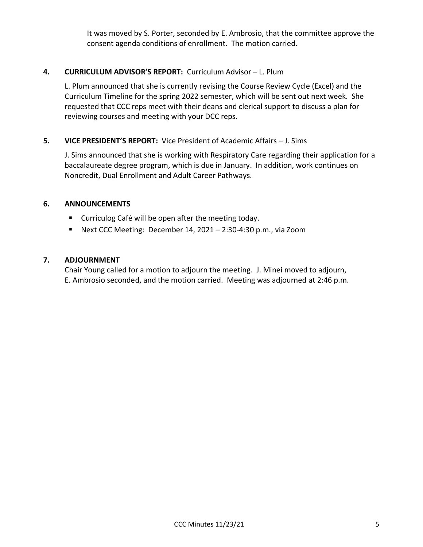It was moved by S. Porter, seconded by E. Ambrosio, that the committee approve the consent agenda conditions of enrollment. The motion carried.

# **4. CURRICULUM ADVISOR'S REPORT:** Curriculum Advisor – L. Plum

L. Plum announced that she is currently revising the Course Review Cycle (Excel) and the Curriculum Timeline for the spring 2022 semester, which will be sent out next week. She requested that CCC reps meet with their deans and clerical support to discuss a plan for reviewing courses and meeting with your DCC reps.

# **5. VICE PRESIDENT'S REPORT:** Vice President of Academic Affairs – J. Sims

J. Sims announced that she is working with Respiratory Care regarding their application for a baccalaureate degree program, which is due in January. In addition, work continues on Noncredit, Dual Enrollment and Adult Career Pathways.

## **6. ANNOUNCEMENTS**

- Curriculog Café will be open after the meeting today.
- Next CCC Meeting: December 14, 2021 2:30-4:30 p.m., via Zoom

## **7. ADJOURNMENT**

Chair Young called for a motion to adjourn the meeting. J. Minei moved to adjourn, E. Ambrosio seconded, and the motion carried. Meeting was adjourned at 2:46 p.m.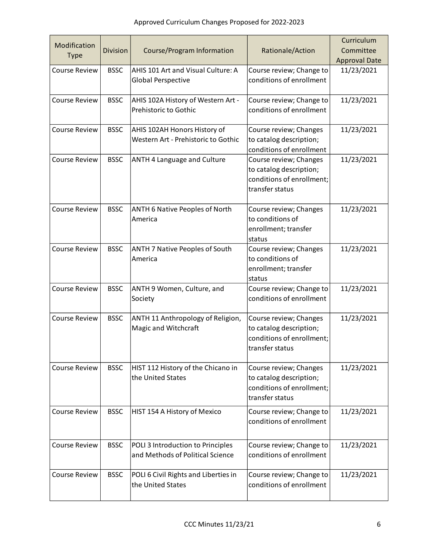| Modification         |                 |                                                                       |                                                                                                   | Curriculum           |
|----------------------|-----------------|-----------------------------------------------------------------------|---------------------------------------------------------------------------------------------------|----------------------|
| <b>Type</b>          | <b>Division</b> | Course/Program Information                                            | Rationale/Action                                                                                  | Committee            |
| <b>Course Review</b> | <b>BSSC</b>     | AHIS 101 Art and Visual Culture: A                                    |                                                                                                   | <b>Approval Date</b> |
|                      |                 | <b>Global Perspective</b>                                             | Course review; Change to<br>conditions of enrollment                                              | 11/23/2021           |
| <b>Course Review</b> | <b>BSSC</b>     | AHIS 102A History of Western Art -<br>Prehistoric to Gothic           | Course review; Change to<br>conditions of enrollment                                              | 11/23/2021           |
| <b>Course Review</b> | <b>BSSC</b>     | AHIS 102AH Honors History of<br>Western Art - Prehistoric to Gothic   | Course review; Changes<br>to catalog description;<br>conditions of enrollment                     | 11/23/2021           |
| <b>Course Review</b> | <b>BSSC</b>     | <b>ANTH 4 Language and Culture</b>                                    | Course review; Changes<br>to catalog description;<br>conditions of enrollment;<br>transfer status | 11/23/2021           |
| <b>Course Review</b> | <b>BSSC</b>     | <b>ANTH 6 Native Peoples of North</b><br>America                      | Course review; Changes<br>to conditions of<br>enrollment; transfer<br>status                      | 11/23/2021           |
| <b>Course Review</b> | <b>BSSC</b>     | <b>ANTH 7 Native Peoples of South</b><br>America                      | Course review; Changes<br>to conditions of<br>enrollment; transfer<br>status                      | 11/23/2021           |
| <b>Course Review</b> | <b>BSSC</b>     | ANTH 9 Women, Culture, and<br>Society                                 | Course review; Change to<br>conditions of enrollment                                              | 11/23/2021           |
| <b>Course Review</b> | <b>BSSC</b>     | ANTH 11 Anthropology of Religion,<br>Magic and Witchcraft             | Course review; Changes<br>to catalog description;<br>conditions of enrollment;<br>transfer status | 11/23/2021           |
| <b>Course Review</b> | <b>BSSC</b>     | HIST 112 History of the Chicano in<br>the United States               | Course review; Changes<br>to catalog description;<br>conditions of enrollment;<br>transfer status | 11/23/2021           |
| <b>Course Review</b> | <b>BSSC</b>     | HIST 154 A History of Mexico                                          | Course review; Change to<br>conditions of enrollment                                              | 11/23/2021           |
| <b>Course Review</b> | <b>BSSC</b>     | POLI 3 Introduction to Principles<br>and Methods of Political Science | Course review; Change to<br>conditions of enrollment                                              | 11/23/2021           |
| <b>Course Review</b> | <b>BSSC</b>     | POLI 6 Civil Rights and Liberties in<br>the United States             | Course review; Change to<br>conditions of enrollment                                              | 11/23/2021           |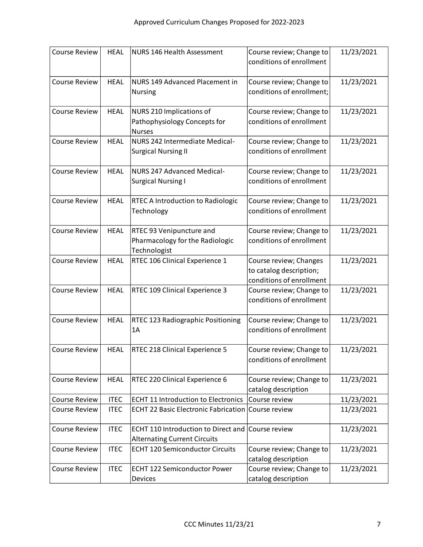| <b>Course Review</b> | <b>HEAL</b> | NURS 146 Health Assessment                        | Course review; Change to<br>conditions of enrollment | 11/23/2021 |
|----------------------|-------------|---------------------------------------------------|------------------------------------------------------|------------|
|                      |             |                                                   |                                                      |            |
| <b>Course Review</b> | <b>HEAL</b> | NURS 149 Advanced Placement in                    | Course review; Change to                             | 11/23/2021 |
|                      |             | <b>Nursing</b>                                    | conditions of enrollment;                            |            |
| <b>Course Review</b> | <b>HEAL</b> | NURS 210 Implications of                          | Course review; Change to                             | 11/23/2021 |
|                      |             | Pathophysiology Concepts for<br><b>Nurses</b>     | conditions of enrollment                             |            |
| <b>Course Review</b> | <b>HEAL</b> | NURS 242 Intermediate Medical-                    | Course review; Change to                             | 11/23/2021 |
|                      |             | <b>Surgical Nursing II</b>                        | conditions of enrollment                             |            |
| <b>Course Review</b> | <b>HEAL</b> | NURS 247 Advanced Medical-                        | Course review; Change to                             | 11/23/2021 |
|                      |             | <b>Surgical Nursing I</b>                         | conditions of enrollment                             |            |
| <b>Course Review</b> | <b>HEAL</b> | <b>RTEC A Introduction to Radiologic</b>          | Course review; Change to                             | 11/23/2021 |
|                      |             | Technology                                        | conditions of enrollment                             |            |
| <b>Course Review</b> | <b>HEAL</b> | <b>RTEC 93 Venipuncture and</b>                   | Course review; Change to                             | 11/23/2021 |
|                      |             | Pharmacology for the Radiologic<br>Technologist   | conditions of enrollment                             |            |
| <b>Course Review</b> | <b>HEAL</b> | RTEC 106 Clinical Experience 1                    | Course review; Changes                               | 11/23/2021 |
|                      |             |                                                   | to catalog description;                              |            |
|                      |             |                                                   | conditions of enrollment                             |            |
| <b>Course Review</b> | <b>HEAL</b> | RTEC 109 Clinical Experience 3                    | Course review; Change to                             | 11/23/2021 |
|                      |             |                                                   | conditions of enrollment                             |            |
| <b>Course Review</b> | <b>HEAL</b> | RTEC 123 Radiographic Positioning                 | Course review; Change to                             | 11/23/2021 |
|                      |             | 1A                                                | conditions of enrollment                             |            |
| <b>Course Review</b> | <b>HEAL</b> | RTEC 218 Clinical Experience 5                    | Course review; Change to                             | 11/23/2021 |
|                      |             |                                                   | conditions of enrollment                             |            |
| <b>Course Review</b> | <b>HEAL</b> | RTEC 220 Clinical Experience 6                    | Course review; Change to                             | 11/23/2021 |
|                      |             |                                                   | catalog description                                  |            |
| <b>Course Review</b> | <b>ITEC</b> | <b>ECHT 11 Introduction to Electronics</b>        | Course review                                        | 11/23/2021 |
| <b>Course Review</b> | <b>ITEC</b> | <b>ECHT 22 Basic Electronic Fabrication</b>       | Course review                                        | 11/23/2021 |
| <b>Course Review</b> | <b>ITEC</b> | ECHT 110 Introduction to Direct and Course review |                                                      | 11/23/2021 |
|                      |             | <b>Alternating Current Circuits</b>               |                                                      |            |
| <b>Course Review</b> | <b>ITEC</b> | <b>ECHT 120 Semiconductor Circuits</b>            | Course review; Change to                             | 11/23/2021 |
|                      |             |                                                   | catalog description                                  |            |
| <b>Course Review</b> | <b>ITEC</b> | <b>ECHT 122 Semiconductor Power</b>               | Course review; Change to                             | 11/23/2021 |
|                      |             | Devices                                           | catalog description                                  |            |